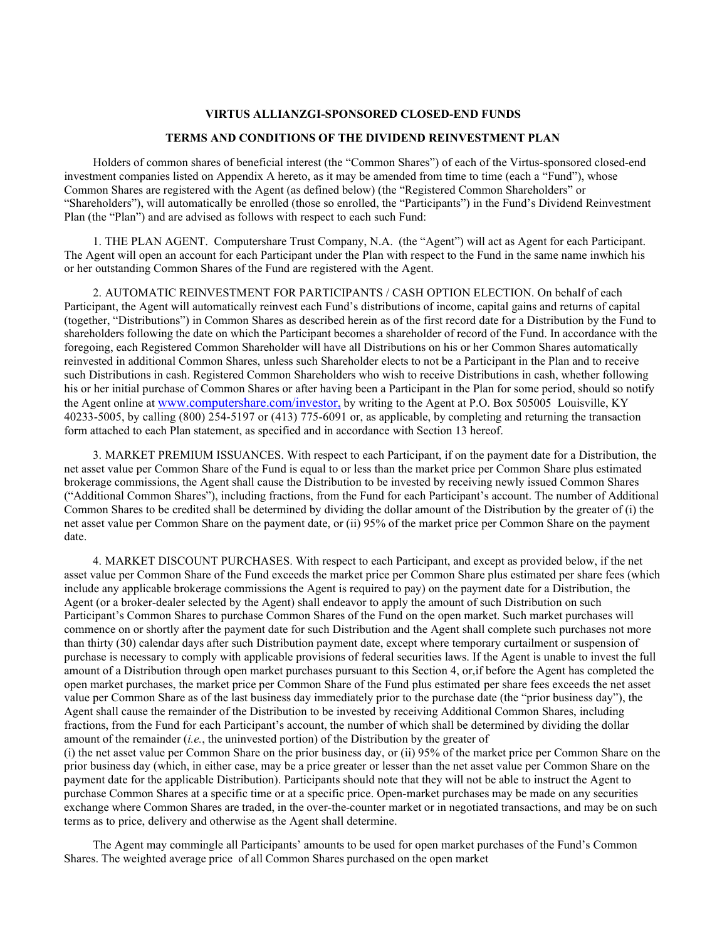### **VIRTUS ALLIANZGI-SPONSORED CLOSED-END FUNDS**

#### **TERMS AND CONDITIONS OF THE DIVIDEND REINVESTMENT PLAN**

Holders of common shares of beneficial interest (the "Common Shares") of each of the Virtus-sponsored closed-end investment companies listed on Appendix A hereto, as it may be amended from time to time (each a "Fund"), whose Common Shares are registered with the Agent (as defined below) (the "Registered Common Shareholders" or "Shareholders"), will automatically be enrolled (those so enrolled, the "Participants") in the Fund's Dividend Reinvestment Plan (the "Plan") and are advised as follows with respect to each such Fund:

1. THE PLAN AGENT. Computershare Trust Company, N.A. (the "Agent") will act as Agent for each Participant. The Agent will open an account for each Participant under the Plan with respect to the Fund in the same name inwhich his or her outstanding Common Shares of the Fund are registered with the Agent.

2. AUTOMATIC REINVESTMENT FOR PARTICIPANTS / CASH OPTION ELECTION. On behalf of each Participant, the Agent will automatically reinvest each Fund's distributions of income, capital gains and returns of capital (together, "Distributions") in Common Shares as described herein as of the first record date for a Distribution by the Fund to shareholders following the date on which the Participant becomes a shareholder of record of the Fund. In accordance with the foregoing, each Registered Common Shareholder will have all Distributions on his or her Common Shares automatically reinvested in additional Common Shares, unless such Shareholder elects to not be a Participant in the Plan and to receive such Distributions in cash. Registered Common Shareholders who wish to receive Distributions in cash, whether following his or her initial purchase of Common Shares or after having been a Participant in the Plan for some period, should so notify the Agent online at [www.computershare.com/investor,](http://www.astfinancial.com/) by writing to the Agent at P.O. Box 505005 Louisville, KY 40233-5005, by calling (800) 254-5197 or (413) 775-6091 or, as applicable, by completing and returning the transaction form attached to each Plan statement, as specified and in accordance with Section 13 hereof.

3. MARKET PREMIUM ISSUANCES. With respect to each Participant, if on the payment date for a Distribution, the net asset value per Common Share of the Fund is equal to or less than the market price per Common Share plus estimated brokerage commissions, the Agent shall cause the Distribution to be invested by receiving newly issued Common Shares ("Additional Common Shares"), including fractions, from the Fund for each Participant's account. The number of Additional Common Shares to be credited shall be determined by dividing the dollar amount of the Distribution by the greater of (i) the net asset value per Common Share on the payment date, or (ii) 95% of the market price per Common Share on the payment date.

4. MARKET DISCOUNT PURCHASES. With respect to each Participant, and except as provided below, if the net asset value per Common Share of the Fund exceeds the market price per Common Share plus estimated per share fees (which include any applicable brokerage commissions the Agent is required to pay) on the payment date for a Distribution, the Agent (or a broker-dealer selected by the Agent) shall endeavor to apply the amount of such Distribution on such Participant's Common Shares to purchase Common Shares of the Fund on the open market. Such market purchases will commence on or shortly after the payment date for such Distribution and the Agent shall complete such purchases not more than thirty (30) calendar days after such Distribution payment date, except where temporary curtailment or suspension of purchase is necessary to comply with applicable provisions of federal securities laws. If the Agent is unable to invest the full amount of a Distribution through open market purchases pursuant to this Section 4, or,if before the Agent has completed the open market purchases, the market price per Common Share of the Fund plus estimated per share fees exceeds the net asset value per Common Share as of the last business day immediately prior to the purchase date (the "prior business day"), the Agent shall cause the remainder of the Distribution to be invested by receiving Additional Common Shares, including fractions, from the Fund for each Participant's account, the number of which shall be determined by dividing the dollar amount of the remainder (*i.e.*, the uninvested portion) of the Distribution by the greater of

(i) the net asset value per Common Share on the prior business day, or (ii) 95% of the market price per Common Share on the prior business day (which, in either case, may be a price greater or lesser than the net asset value per Common Share on the payment date for the applicable Distribution). Participants should note that they will not be able to instruct the Agent to purchase Common Shares at a specific time or at a specific price. Open-market purchases may be made on any securities exchange where Common Shares are traded, in the over-the-counter market or in negotiated transactions, and may be on such terms as to price, delivery and otherwise as the Agent shall determine.

The Agent may commingle all Participants' amounts to be used for open market purchases of the Fund's Common Shares. The weighted average price of all Common Shares purchased on the open market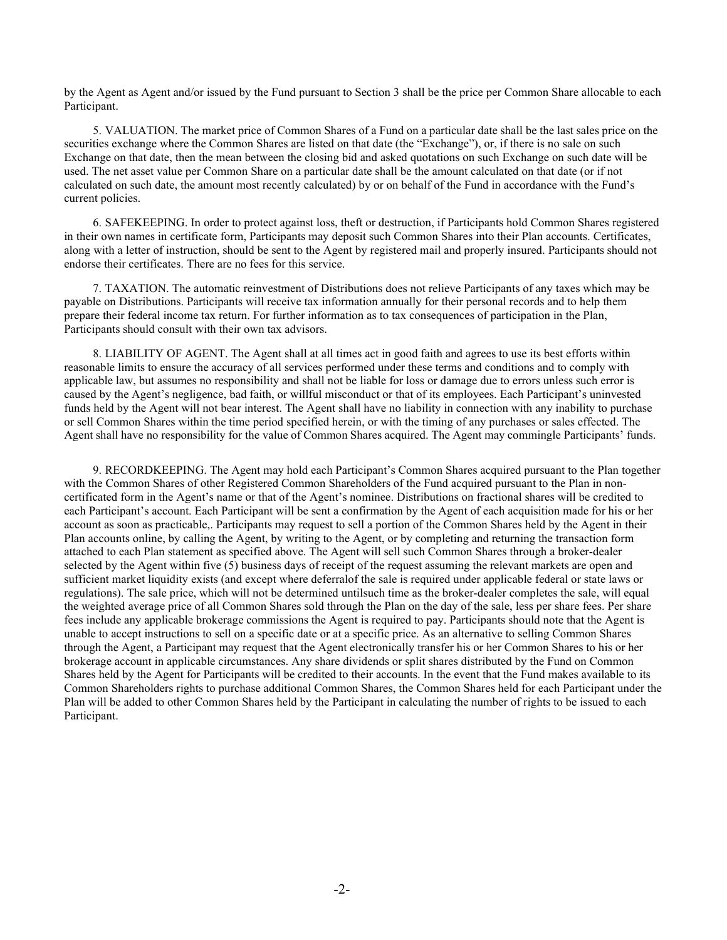by the Agent as Agent and/or issued by the Fund pursuant to Section 3 shall be the price per Common Share allocable to each Participant.

5. VALUATION. The market price of Common Shares of a Fund on a particular date shall be the last sales price on the securities exchange where the Common Shares are listed on that date (the "Exchange"), or, if there is no sale on such Exchange on that date, then the mean between the closing bid and asked quotations on such Exchange on such date will be used. The net asset value per Common Share on a particular date shall be the amount calculated on that date (or if not calculated on such date, the amount most recently calculated) by or on behalf of the Fund in accordance with the Fund's current policies.

6. SAFEKEEPING. In order to protect against loss, theft or destruction, if Participants hold Common Shares registered in their own names in certificate form, Participants may deposit such Common Shares into their Plan accounts. Certificates, along with a letter of instruction, should be sent to the Agent by registered mail and properly insured. Participants should not endorse their certificates. There are no fees for this service.

7. TAXATION. The automatic reinvestment of Distributions does not relieve Participants of any taxes which may be payable on Distributions. Participants will receive tax information annually for their personal records and to help them prepare their federal income tax return. For further information as to tax consequences of participation in the Plan, Participants should consult with their own tax advisors.

8. LIABILITY OF AGENT. The Agent shall at all times act in good faith and agrees to use its best efforts within reasonable limits to ensure the accuracy of all services performed under these terms and conditions and to comply with applicable law, but assumes no responsibility and shall not be liable for loss or damage due to errors unless such error is caused by the Agent's negligence, bad faith, or willful misconduct or that of its employees. Each Participant's uninvested funds held by the Agent will not bear interest. The Agent shall have no liability in connection with any inability to purchase or sell Common Shares within the time period specified herein, or with the timing of any purchases or sales effected. The Agent shall have no responsibility for the value of Common Shares acquired. The Agent may commingle Participants' funds.

9. RECORDKEEPING. The Agent may hold each Participant's Common Shares acquired pursuant to the Plan together with the Common Shares of other Registered Common Shareholders of the Fund acquired pursuant to the Plan in noncertificated form in the Agent's name or that of the Agent's nominee. Distributions on fractional shares will be credited to each Participant's account. Each Participant will be sent a confirmation by the Agent of each acquisition made for his or her account as soon as practicable,. Participants may request to sell a portion of the Common Shares held by the Agent in their Plan accounts online, by calling the Agent, by writing to the Agent, or by completing and returning the transaction form attached to each Plan statement as specified above. The Agent will sell such Common Shares through a broker-dealer selected by the Agent within five (5) business days of receipt of the request assuming the relevant markets are open and sufficient market liquidity exists (and except where deferralof the sale is required under applicable federal or state laws or regulations). The sale price, which will not be determined untilsuch time as the broker-dealer completes the sale, will equal the weighted average price of all Common Shares sold through the Plan on the day of the sale, less per share fees. Per share fees include any applicable brokerage commissions the Agent is required to pay. Participants should note that the Agent is unable to accept instructions to sell on a specific date or at a specific price. As an alternative to selling Common Shares through the Agent, a Participant may request that the Agent electronically transfer his or her Common Shares to his or her brokerage account in applicable circumstances. Any share dividends or split shares distributed by the Fund on Common Shares held by the Agent for Participants will be credited to their accounts. In the event that the Fund makes available to its Common Shareholders rights to purchase additional Common Shares, the Common Shares held for each Participant under the Plan will be added to other Common Shares held by the Participant in calculating the number of rights to be issued to each Participant.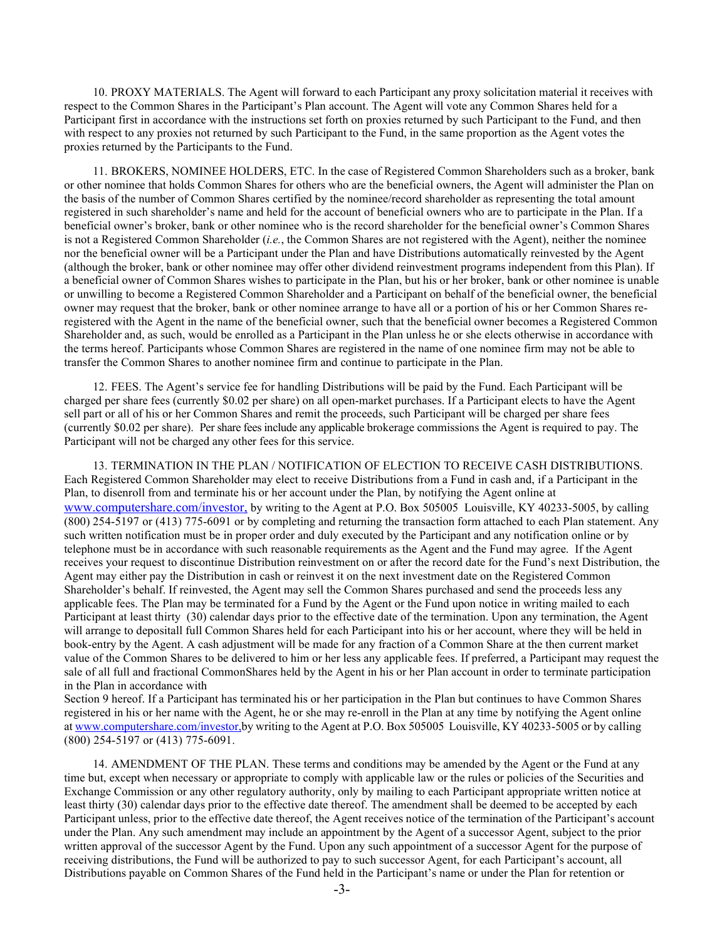10. PROXY MATERIALS. The Agent will forward to each Participant any proxy solicitation material it receives with respect to the Common Shares in the Participant's Plan account. The Agent will vote any Common Shares held for a Participant first in accordance with the instructions set forth on proxies returned by such Participant to the Fund, and then with respect to any proxies not returned by such Participant to the Fund, in the same proportion as the Agent votes the proxies returned by the Participants to the Fund.

11. BROKERS, NOMINEE HOLDERS, ETC. In the case of Registered Common Shareholders such as a broker, bank or other nominee that holds Common Shares for others who are the beneficial owners, the Agent will administer the Plan on the basis of the number of Common Shares certified by the nominee/record shareholder as representing the total amount registered in such shareholder's name and held for the account of beneficial owners who are to participate in the Plan. If a beneficial owner's broker, bank or other nominee who is the record shareholder for the beneficial owner's Common Shares is not a Registered Common Shareholder (*i.e.*, the Common Shares are not registered with the Agent), neither the nominee nor the beneficial owner will be a Participant under the Plan and have Distributions automatically reinvested by the Agent (although the broker, bank or other nominee may offer other dividend reinvestment programs independent from this Plan). If a beneficial owner of Common Shares wishes to participate in the Plan, but his or her broker, bank or other nominee is unable or unwilling to become a Registered Common Shareholder and a Participant on behalf of the beneficial owner, the beneficial owner may request that the broker, bank or other nominee arrange to have all or a portion of his or her Common Shares reregistered with the Agent in the name of the beneficial owner, such that the beneficial owner becomes a Registered Common Shareholder and, as such, would be enrolled as a Participant in the Plan unless he or she elects otherwise in accordance with the terms hereof. Participants whose Common Shares are registered in the name of one nominee firm may not be able to transfer the Common Shares to another nominee firm and continue to participate in the Plan.

12. FEES. The Agent's service fee for handling Distributions will be paid by the Fund. Each Participant will be charged per share fees (currently \$0.02 per share) on all open-market purchases. If a Participant elects to have the Agent sell part or all of his or her Common Shares and remit the proceeds, such Participant will be charged per share fees (currently \$0.02 per share). Per share fees include any applicable brokerage commissions the Agent is required to pay. The Participant will not be charged any other fees for this service.

13. TERMINATION IN THE PLAN / NOTIFICATION OF ELECTION TO RECEIVE CASH DISTRIBUTIONS. Each Registered Common Shareholder may elect to receive Distributions from a Fund in cash and, if a Participant in the Plan, to disenroll from and terminate his or her account under the Plan, by notifying the Agent online at [www.computershare.com/investor,](http://www.astfinancial.com/) by writing to the Agent at P.O. Box 505005 Louisville, KY 40233-5005, by calling (800) 254-5197 or (413) 775-6091 or by completing and returning the transaction form attached to each Plan statement. Any such written notification must be in proper order and duly executed by the Participant and any notification online or by telephone must be in accordance with such reasonable requirements as the Agent and the Fund may agree. If the Agent receives your request to discontinue Distribution reinvestment on or after the record date for the Fund's next Distribution, the Agent may either pay the Distribution in cash or reinvest it on the next investment date on the Registered Common Shareholder's behalf. If reinvested, the Agent may sell the Common Shares purchased and send the proceeds less any applicable fees. The Plan may be terminated for a Fund by the Agent or the Fund upon notice in writing mailed to each Participant at least thirty (30) calendar days prior to the effective date of the termination. Upon any termination, the Agent will arrange to depositall full Common Shares held for each Participant into his or her account, where they will be held in book-entry by the Agent. A cash adjustment will be made for any fraction of a Common Share at the then current market value of the Common Shares to be delivered to him or her less any applicable fees. If preferred, a Participant may request the sale of all full and fractional CommonShares held by the Agent in his or her Plan account in order to terminate participation in the Plan in accordance with

Section 9 hereof. If a Participant has terminated his or her participation in the Plan but continues to have Common Shares registered in his or her name with the Agent, he or she may re-enroll in the Plan at any time by notifying the Agent online a[t www.computershare.com/investor,b](http://www.astfinancial.com/)y writing to the Agent at P.O. Box 505005 Louisville, KY 40233-5005 or by calling (800) 254-5197 or (413) 775-6091.

14. AMENDMENT OF THE PLAN. These terms and conditions may be amended by the Agent or the Fund at any time but, except when necessary or appropriate to comply with applicable law or the rules or policies of the Securities and Exchange Commission or any other regulatory authority, only by mailing to each Participant appropriate written notice at least thirty (30) calendar days prior to the effective date thereof. The amendment shall be deemed to be accepted by each Participant unless, prior to the effective date thereof, the Agent receives notice of the termination of the Participant's account under the Plan. Any such amendment may include an appointment by the Agent of a successor Agent, subject to the prior written approval of the successor Agent by the Fund. Upon any such appointment of a successor Agent for the purpose of receiving distributions, the Fund will be authorized to pay to such successor Agent, for each Participant's account, all Distributions payable on Common Shares of the Fund held in the Participant's name or under the Plan for retention or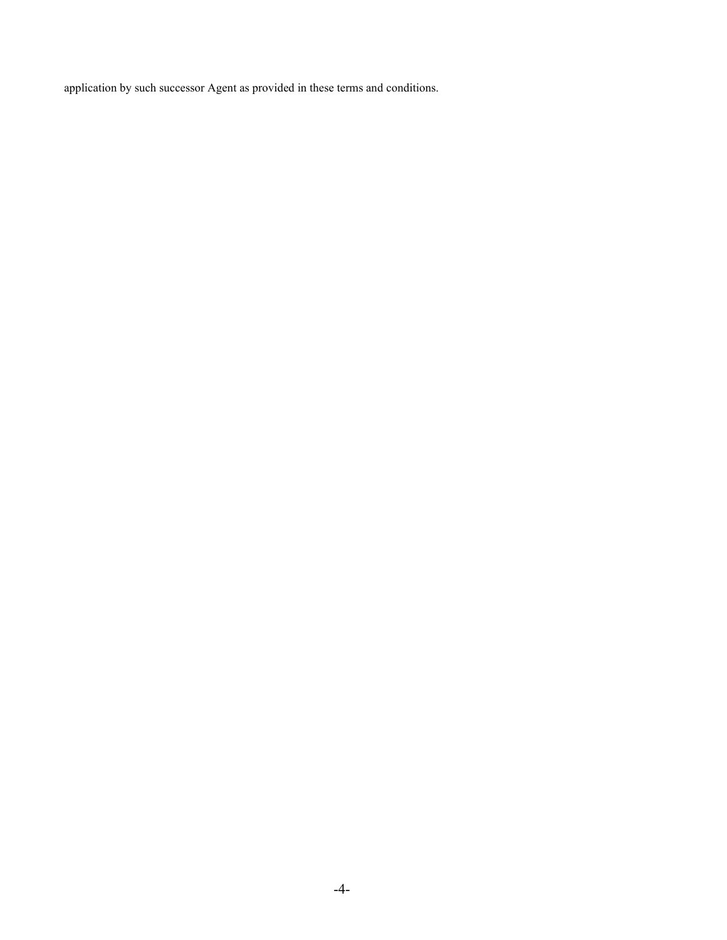application by such successor Agent as provided in these terms and conditions.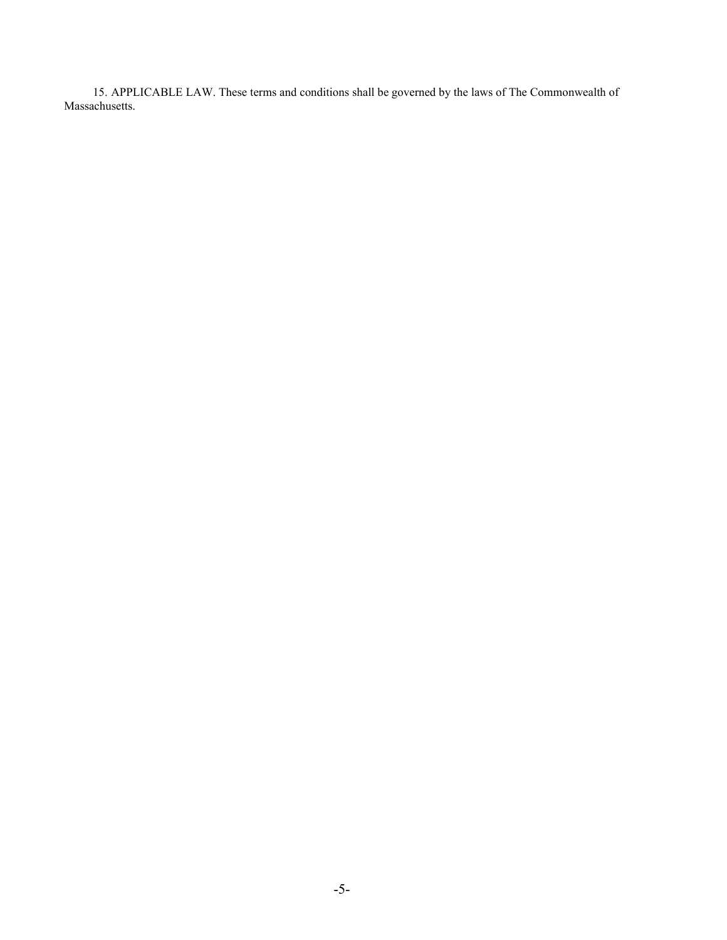15. APPLICABLE LAW. These terms and conditions shall be governed by the laws of The Commonwealth of Massachusetts.